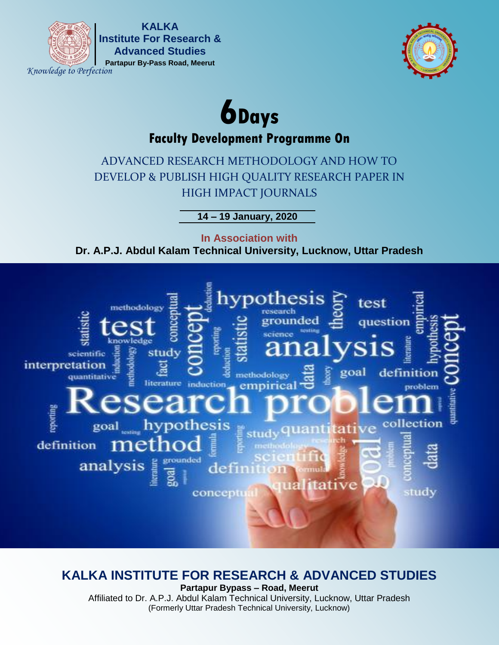

**Partapur By-Pass Road, Meerut KALKA Institute For Research & Advanced Studies**

*Knowledge to Perfection*



# **6Days**

# **Faculty Development Programme On**

ADVANCED RESEARCH METHODOLOGY AND HOW TO DEVELOP & PUBLISH HIGH QUALITY RESEARCH PAPER IN HIGH IMPACT JOURNALS

**14 – 19 January, 2020**

**In Association with Dr. A.P.J. Abdul Kalam Technical University, Lucknow, Uttar Pradesh**



# **KALKA INSTITUTE FOR RESEARCH & ADVANCED STUDIES**

**Partapur Bypass – Road, Meerut** Affiliated to Dr. A.P.J. Abdul Kalam Technical University, Lucknow, Uttar Pradesh (Formerly Uttar Pradesh Technical University, Lucknow)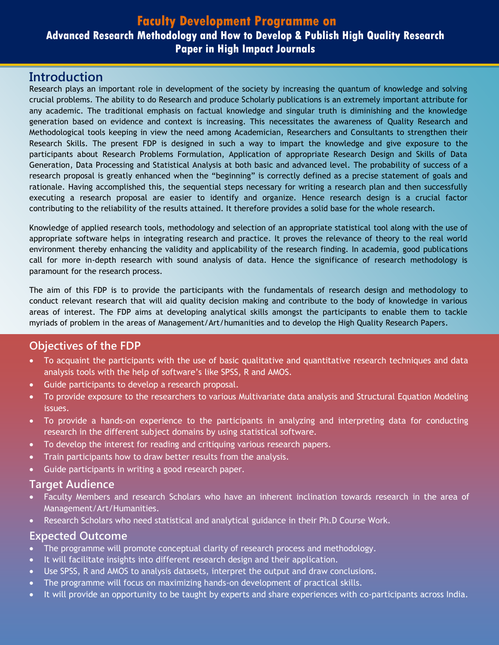## **Faculty Development Programme on**

# **Advanced Research Methodology and How to Develop & Publish High Quality Research Paper in High Impact Journals**

## **Introduction**

Research plays an important role in development of the society by increasing the quantum of knowledge and solving crucial problems. The ability to do Research and produce Scholarly publications is an extremely important attribute for any academic. The traditional emphasis on factual knowledge and singular truth is diminishing and the knowledge generation based on evidence and context is increasing. This necessitates the awareness of Quality Research and Methodological tools keeping in view the need among Academician, Researchers and Consultants to strengthen their Research Skills. The present FDP is designed in such a way to impart the knowledge and give exposure to the participants about Research Problems Formulation, Application of appropriate Research Design and Skills of Data Generation, Data Processing and Statistical Analysis at both basic and advanced level. The probability of success of a research proposal is greatly enhanced when the "beginning" is correctly defined as a precise statement of goals and rationale. Having accomplished this, the sequential steps necessary for writing a research plan and then successfully executing a research proposal are easier to identify and organize. Hence research design is a crucial factor contributing to the reliability of the results attained. It therefore provides a solid base for the whole research.

Knowledge of applied research tools, methodology and selection of an appropriate statistical tool along with the use of appropriate software helps in integrating research and practice. It proves the relevance of theory to the real world environment thereby enhancing the validity and applicability of the research finding. In academia, good publications call for more in-depth research with sound analysis of data. Hence the significance of research methodology is paramount for the research process.

The aim of this FDP is to provide the participants with the fundamentals of research design and methodology to conduct relevant research that will aid quality decision making and contribute to the body of knowledge in various areas of interest. The FDP aims at developing analytical skills amongst the participants to enable them to tackle myriads of problem in the areas of Management/Art/humanities and to develop the High Quality Research Papers.

## **Objectives of the FDP**

- To acquaint the participants with the use of basic qualitative and quantitative research techniques and data analysis tools with the help of software's like SPSS, R and AMOS.
- Guide participants to develop a research proposal.
- To provide exposure to the researchers to various Multivariate data analysis and Structural Equation Modeling issues.
- To provide a hands-on experience to the participants in analyzing and interpreting data for conducting research in the different subject domains by using statistical software.
- To develop the interest for reading and critiquing various research papers.
- Train participants how to draw better results from the analysis.
- Guide participants in writing a good research paper.

#### **Target Audience**

- Faculty Members and research Scholars who have an inherent inclination towards research in the area of Management/Art/Humanities.
- Research Scholars who need statistical and analytical guidance in their Ph.D Course Work.

#### **Expected Outcome**

- The programme will promote conceptual clarity of research process and methodology.
- It will facilitate insights into different research design and their application.
- Use SPSS, R and AMOS to analysis datasets, interpret the output and draw conclusions.
- The programme will focus on maximizing hands-on development of practical skills.
- It will provide an opportunity to be taught by experts and share experiences with co-participants across India.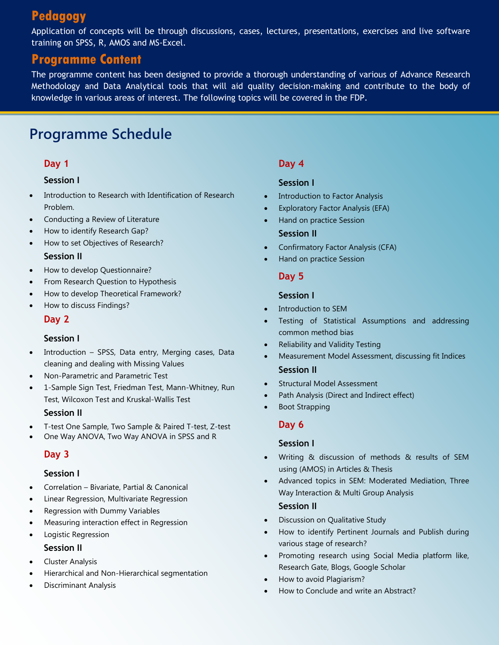# **Pedagogy**

Application of concepts will be through discussions, cases, lectures, presentations, exercises and live software training on SPSS, R, AMOS and MS-Excel.

# **Programme Content**

The programme content has been designed to provide a thorough understanding of various of Advance Research Methodology and Data Analytical tools that will aid quality decision-making and contribute to the body of knowledge in various areas of interest. The following topics will be covered in the FDP.

# **Programme Schedule**

#### **Day 1**

#### **Session I**

- Introduction to Research with Identification of Research Problem.
- Conducting a Review of Literature
- How to identify Research Gap?
- How to set Objectives of Research?

#### **Session II**

- How to develop Questionnaire?
- From Research Question to Hypothesis
- How to develop Theoretical Framework?
- How to discuss Findings?

#### **Day 2**

#### **Session I**

- Introduction SPSS, Data entry, Merging cases, Data cleaning and dealing with Missing Values
- Non-Parametric and Parametric Test
- 1-Sample Sign Test, Friedman Test, Mann-Whitney, Run Test, Wilcoxon Test and Kruskal-Wallis Test

#### **Session II**

- T-test One Sample, Two Sample & Paired T-test, Z-test
- One Way ANOVA, Two Way ANOVA in SPSS and R

#### **Day 3**

#### **Session I**

- Correlation Bivariate, Partial & Canonical
- Linear Regression, Multivariate Regression
- Regression with Dummy Variables
- Measuring interaction effect in Regression
- Logistic Regression

#### **Session II**

- Cluster Analysis
- Hierarchical and Non-Hierarchical segmentation
- Discriminant Analysis

#### **Day 4**

#### **Session I**

- Introduction to Factor Analysis
- Exploratory Factor Analysis (EFA)
- Hand on practice Session **Session II**
- Confirmatory Factor Analysis (CFA)
- Hand on practice Session

#### **Day 5**

#### **Session I**

- Introduction to SEM
- Testing of Statistical Assumptions and addressing common method bias
- Reliability and Validity Testing
- Measurement Model Assessment, discussing fit Indices **Session II**
- Structural Model Assessment
- Path Analysis (Direct and Indirect effect)
- Boot Strapping

#### **Day 6**

#### **Session I**

- Writing & discussion of methods & results of SEM using (AMOS) in Articles & Thesis
- Advanced topics in SEM: Moderated Mediation, Three Way Interaction & Multi Group Analysis

#### **Session II**

- Discussion on Qualitative Study
- How to identify Pertinent Journals and Publish during various stage of research?
- Promoting research using Social Media platform like, Research Gate, Blogs, Google Scholar
- How to avoid Plagiarism?
- How to Conclude and write an Abstract?